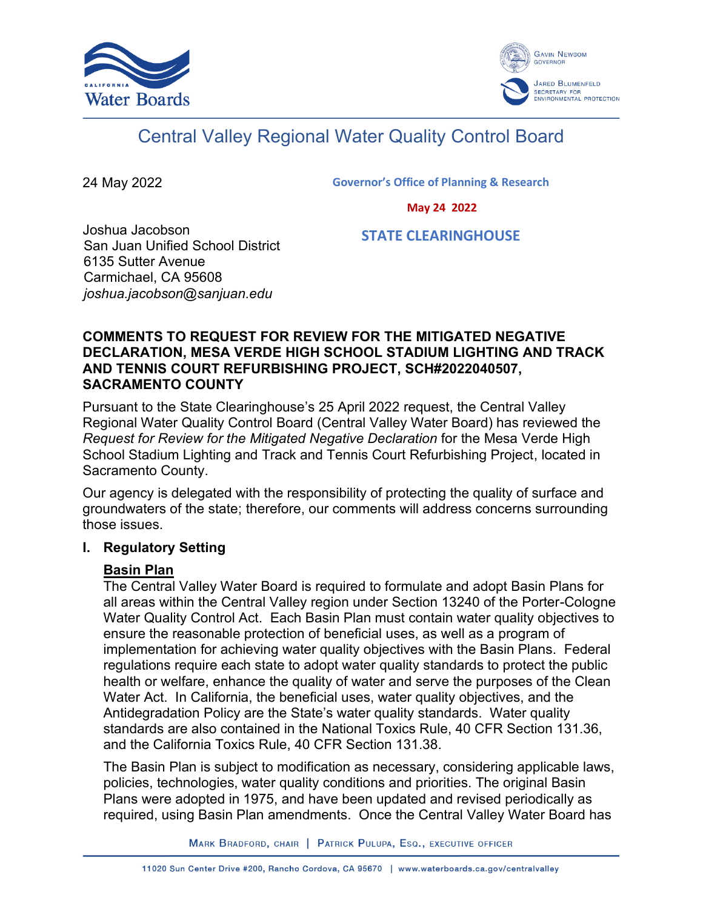



# Central Valley Regional Water Quality Control Board

24 May 2022

**Governor's Office of Planning & Research**

 **May 24 2022**

Joshua Jacobson San Juan Unified School District 6135 Sutter Avenue Carmichael, CA 95608 *joshua.jacobson@sanjuan.edu*

 **STATE CLEARINGHOUSE**

#### **COMMENTS TO REQUEST FOR REVIEW FOR THE MITIGATED NEGATIVE DECLARATION, MESA VERDE HIGH SCHOOL STADIUM LIGHTING AND TRACK AND TENNIS COURT REFURBISHING PROJECT, SCH#2022040507, SACRAMENTO COUNTY**

Pursuant to the State Clearinghouse's 25 April 2022 request, the Central Valley Regional Water Quality Control Board (Central Valley Water Board) has reviewed the *Request for Review for the Mitigated Negative Declaration* for the Mesa Verde High School Stadium Lighting and Track and Tennis Court Refurbishing Project, located in Sacramento County.

Our agency is delegated with the responsibility of protecting the quality of surface and groundwaters of the state; therefore, our comments will address concerns surrounding those issues.

#### **I. Regulatory Setting**

# **Basin Plan**

The Central Valley Water Board is required to formulate and adopt Basin Plans for all areas within the Central Valley region under Section 13240 of the Porter-Cologne Water Quality Control Act. Each Basin Plan must contain water quality objectives to ensure the reasonable protection of beneficial uses, as well as a program of implementation for achieving water quality objectives with the Basin Plans. Federal regulations require each state to adopt water quality standards to protect the public health or welfare, enhance the quality of water and serve the purposes of the Clean Water Act. In California, the beneficial uses, water quality objectives, and the Antidegradation Policy are the State's water quality standards. Water quality standards are also contained in the National Toxics Rule, 40 CFR Section 131.36, and the California Toxics Rule, 40 CFR Section 131.38.

The Basin Plan is subject to modification as necessary, considering applicable laws, policies, technologies, water quality conditions and priorities. The original Basin Plans were adopted in 1975, and have been updated and revised periodically as required, using Basin Plan amendments. Once the Central Valley Water Board has

MARK BRADFORD, CHAIR | PATRICK PULUPA, ESQ., EXECUTIVE OFFICER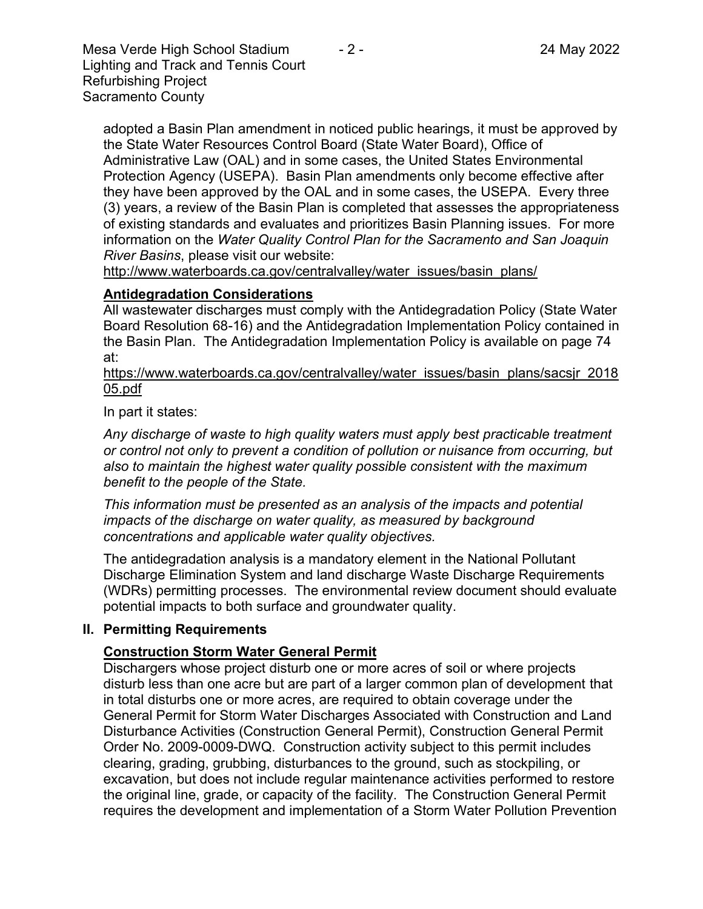Mesa Verde High School Stadium  $-2$  - 2. 24 May 2022 Lighting and Track and Tennis Court Refurbishing Project Sacramento County

adopted a Basin Plan amendment in noticed public hearings, it must be approved by the State Water Resources Control Board (State Water Board), Office of Administrative Law (OAL) and in some cases, the United States Environmental Protection Agency (USEPA). Basin Plan amendments only become effective after they have been approved by the OAL and in some cases, the USEPA. Every three (3) years, a review of the Basin Plan is completed that assesses the appropriateness of existing standards and evaluates and prioritizes Basin Planning issues. For more information on the *Water Quality Control Plan for the Sacramento and San Joaquin River Basins*, please visit our website:

[http://www.waterboards.ca.gov/centralvalley/water\\_issues/basin\\_plans/](http://www.waterboards.ca.gov/centralvalley/water_issues/basin_plans/)

#### **Antidegradation Considerations**

All wastewater discharges must comply with the Antidegradation Policy (State Water Board Resolution 68-16) and the Antidegradation Implementation Policy contained in the Basin Plan. The Antidegradation Implementation Policy is available on page 74 at:

https://www.waterboards.ca.gov/centralvalley/water\_issues/basin\_plans/sacsjr\_2018 05.pdf

In part it states:

*Any discharge of waste to high quality waters must apply best practicable treatment or control not only to prevent a condition of pollution or nuisance from occurring, but also to maintain the highest water quality possible consistent with the maximum benefit to the people of the State.*

*This information must be presented as an analysis of the impacts and potential impacts of the discharge on water quality, as measured by background concentrations and applicable water quality objectives.*

The antidegradation analysis is a mandatory element in the National Pollutant Discharge Elimination System and land discharge Waste Discharge Requirements (WDRs) permitting processes. The environmental review document should evaluate potential impacts to both surface and groundwater quality.

#### **II. Permitting Requirements**

# **Construction Storm Water General Permit**

Dischargers whose project disturb one or more acres of soil or where projects disturb less than one acre but are part of a larger common plan of development that in total disturbs one or more acres, are required to obtain coverage under the General Permit for Storm Water Discharges Associated with Construction and Land Disturbance Activities (Construction General Permit), Construction General Permit Order No. 2009-0009-DWQ. Construction activity subject to this permit includes clearing, grading, grubbing, disturbances to the ground, such as stockpiling, or excavation, but does not include regular maintenance activities performed to restore the original line, grade, or capacity of the facility. The Construction General Permit requires the development and implementation of a Storm Water Pollution Prevention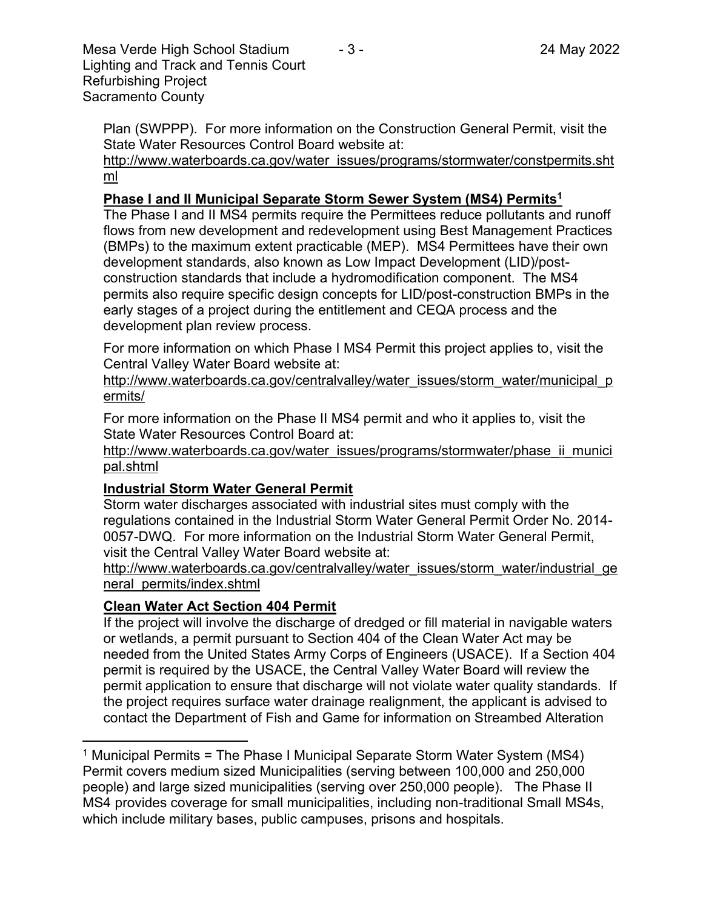Plan (SWPPP). For more information on the Construction General Permit, visit the State Water Resources Control Board website at:

[http://www.waterboards.ca.gov/water\\_issues/programs/stormwater/constpermits.sht](http://www.waterboards.ca.gov/water_issues/programs/stormwater/constpermits.shtml) [ml](http://www.waterboards.ca.gov/water_issues/programs/stormwater/constpermits.shtml)

# **Phase I and II Municipal Separate Storm Sewer System (MS4) Permits<sup>1</sup>**

The Phase I and II MS4 permits require the Permittees reduce pollutants and runoff flows from new development and redevelopment using Best Management Practices (BMPs) to the maximum extent practicable (MEP). MS4 Permittees have their own development standards, also known as Low Impact Development (LID)/postconstruction standards that include a hydromodification component. The MS4 permits also require specific design concepts for LID/post-construction BMPs in the early stages of a project during the entitlement and CEQA process and the development plan review process.

For more information on which Phase I MS4 Permit this project applies to, visit the Central Valley Water Board website at:

http://www.waterboards.ca.gov/centralvalley/water\_issues/storm\_water/municipal\_p ermits/

For more information on the Phase II MS4 permit and who it applies to, visit the State Water Resources Control Board at:

http://www.waterboards.ca.gov/water\_issues/programs/stormwater/phase\_ii\_munici pal.shtml

#### **Industrial Storm Water General Permit**

Storm water discharges associated with industrial sites must comply with the regulations contained in the Industrial Storm Water General Permit Order No. 2014- 0057-DWQ. For more information on the Industrial Storm Water General Permit, visit the Central Valley Water Board website at:

http://www.waterboards.ca.gov/centralvalley/water\_issues/storm\_water/industrial\_ge neral\_permits/index.shtml

# **Clean Water Act Section 404 Permit**

If the project will involve the discharge of dredged or fill material in navigable waters or wetlands, a permit pursuant to Section 404 of the Clean Water Act may be needed from the United States Army Corps of Engineers (USACE). If a Section 404 permit is required by the USACE, the Central Valley Water Board will review the permit application to ensure that discharge will not violate water quality standards. If the project requires surface water drainage realignment, the applicant is advised to contact the Department of Fish and Game for information on Streambed Alteration

<sup>&</sup>lt;sup>1</sup> Municipal Permits = The Phase I Municipal Separate Storm Water System (MS4) Permit covers medium sized Municipalities (serving between 100,000 and 250,000 people) and large sized municipalities (serving over 250,000 people). The Phase II MS4 provides coverage for small municipalities, including non-traditional Small MS4s, which include military bases, public campuses, prisons and hospitals.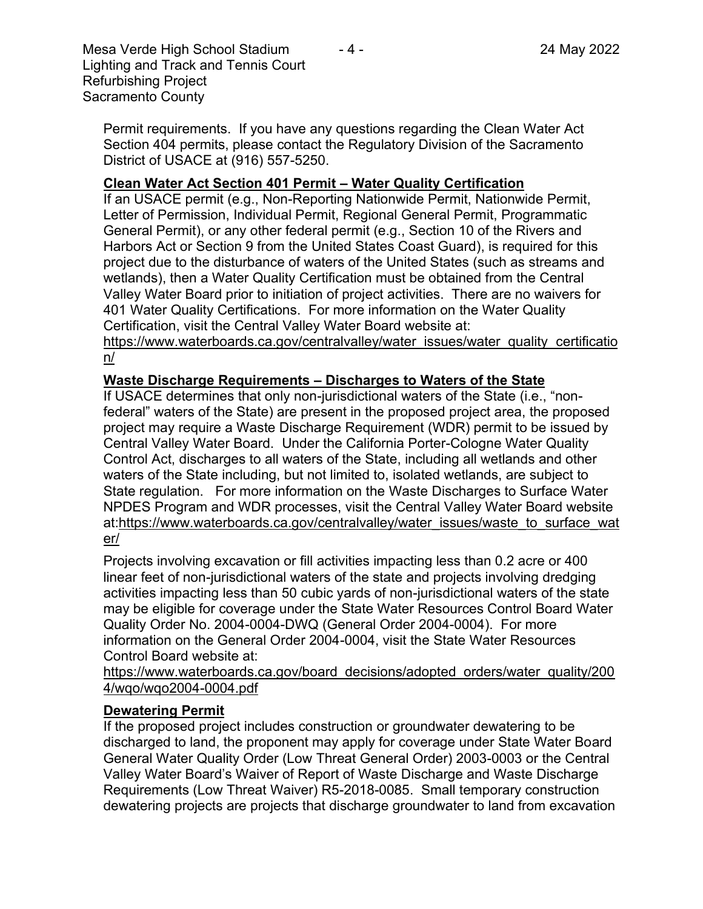Mesa Verde High School Stadium  $-4$  -  $-$  24 May 2022 Lighting and Track and Tennis Court Refurbishing Project Sacramento County

Permit requirements. If you have any questions regarding the Clean Water Act Section 404 permits, please contact the Regulatory Division of the Sacramento District of USACE at (916) 557-5250.

## **Clean Water Act Section 401 Permit – Water Quality Certification**

If an USACE permit (e.g., Non-Reporting Nationwide Permit, Nationwide Permit, Letter of Permission, Individual Permit, Regional General Permit, Programmatic General Permit), or any other federal permit (e.g., Section 10 of the Rivers and Harbors Act or Section 9 from the United States Coast Guard), is required for this project due to the disturbance of waters of the United States (such as streams and wetlands), then a Water Quality Certification must be obtained from the Central Valley Water Board prior to initiation of project activities. There are no waivers for 401 Water Quality Certifications. For more information on the Water Quality Certification, visit the Central Valley Water Board website at:

https://www.waterboards.ca.gov/centralvalley/water\_issues/water\_quality\_certificatio n/

## **Waste Discharge Requirements – Discharges to Waters of the State**

If USACE determines that only non-jurisdictional waters of the State (i.e., "nonfederal" waters of the State) are present in the proposed project area, the proposed project may require a Waste Discharge Requirement (WDR) permit to be issued by Central Valley Water Board. Under the California Porter-Cologne Water Quality Control Act, discharges to all waters of the State, including all wetlands and other waters of the State including, but not limited to, isolated wetlands, are subject to State regulation. For more information on the Waste Discharges to Surface Water NPDES Program and WDR processes, visit the Central Valley Water Board website at:https://www.waterboards.ca.gov/centralvalley/water\_issues/waste\_to\_surface\_wat er/

Projects involving excavation or fill activities impacting less than 0.2 acre or 400 linear feet of non-jurisdictional waters of the state and projects involving dredging activities impacting less than 50 cubic yards of non-jurisdictional waters of the state may be eligible for coverage under the State Water Resources Control Board Water Quality Order No. 2004-0004-DWQ (General Order 2004-0004). For more information on the General Order 2004-0004, visit the State Water Resources Control Board website at:

https://www.waterboards.ca.gov/board\_decisions/adopted\_orders/water\_quality/200 4/wqo/wqo2004-0004.pdf

#### **Dewatering Permit**

If the proposed project includes construction or groundwater dewatering to be discharged to land, the proponent may apply for coverage under State Water Board General Water Quality Order (Low Threat General Order) 2003-0003 or the Central Valley Water Board's Waiver of Report of Waste Discharge and Waste Discharge Requirements (Low Threat Waiver) R5-2018-0085. Small temporary construction dewatering projects are projects that discharge groundwater to land from excavation